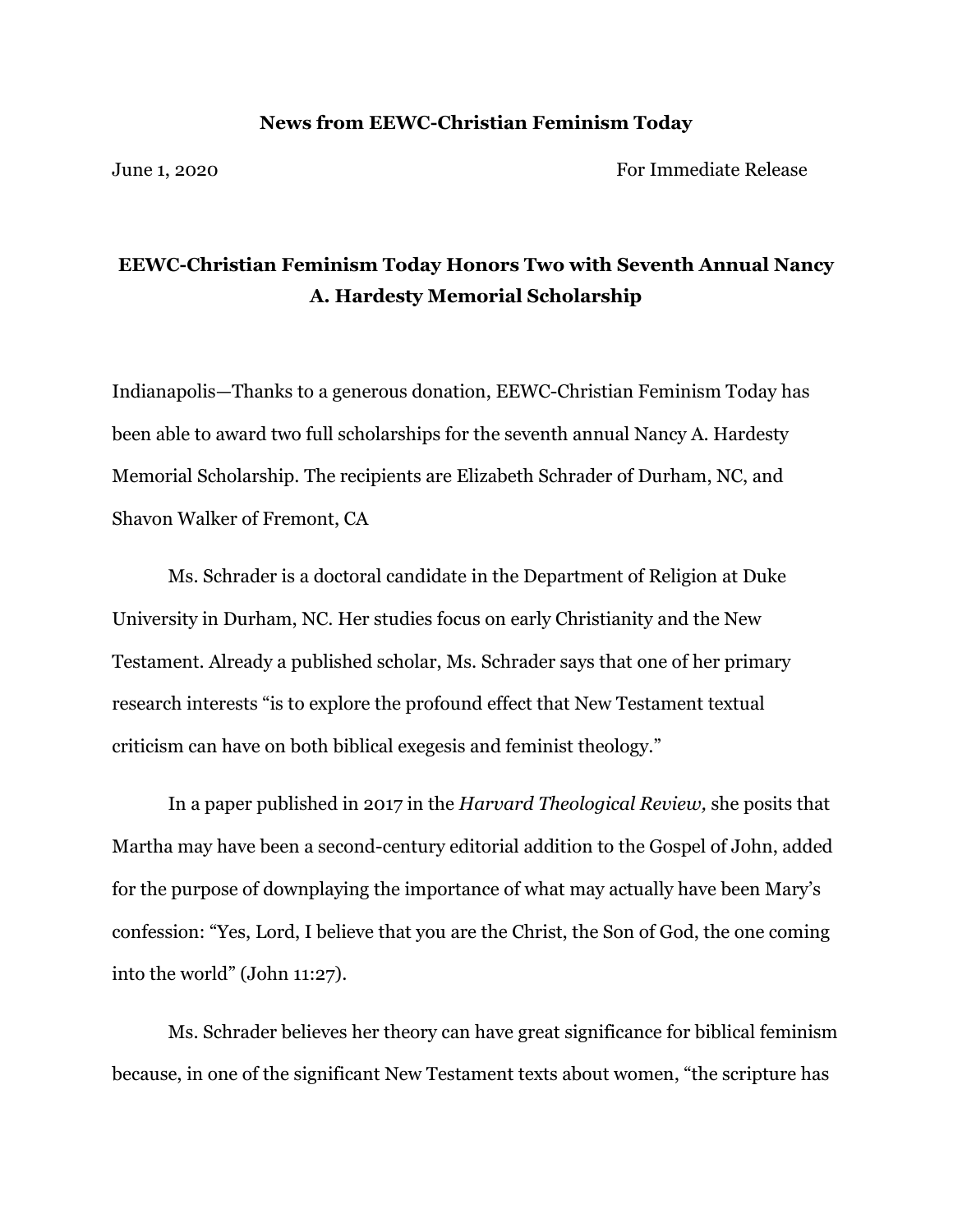## **News from EEWC-Christian Feminism Today**

June 1, 2020 For Immediate Release

## **EEWC-Christian Feminism Today Honors Two with Seventh Annual Nancy A. Hardesty Memorial Scholarship**

Indianapolis—Thanks to a generous donation, EEWC-Christian Feminism Today has been able to award two full scholarships for the seventh annual Nancy A. Hardesty Memorial Scholarship. The recipients are Elizabeth Schrader of Durham, NC, and Shavon Walker of Fremont, CA

Ms. Schrader is a doctoral candidate in the Department of Religion at Duke University in Durham, NC. Her studies focus on early Christianity and the New Testament. Already a published scholar, Ms. Schrader says that one of her primary research interests "is to explore the profound effect that New Testament textual criticism can have on both biblical exegesis and feminist theology."

In a paper published in 2017 in the *Harvard Theological Review,* she posits that Martha may have been a second-century editorial addition to the Gospel of John, added for the purpose of downplaying the importance of what may actually have been Mary's confession: "Yes, Lord, I believe that you are the Christ, the Son of God, the one coming into the world" (John 11:27).

Ms. Schrader believes her theory can have great significance for biblical feminism because, in one of the significant New Testament texts about women, "the scripture has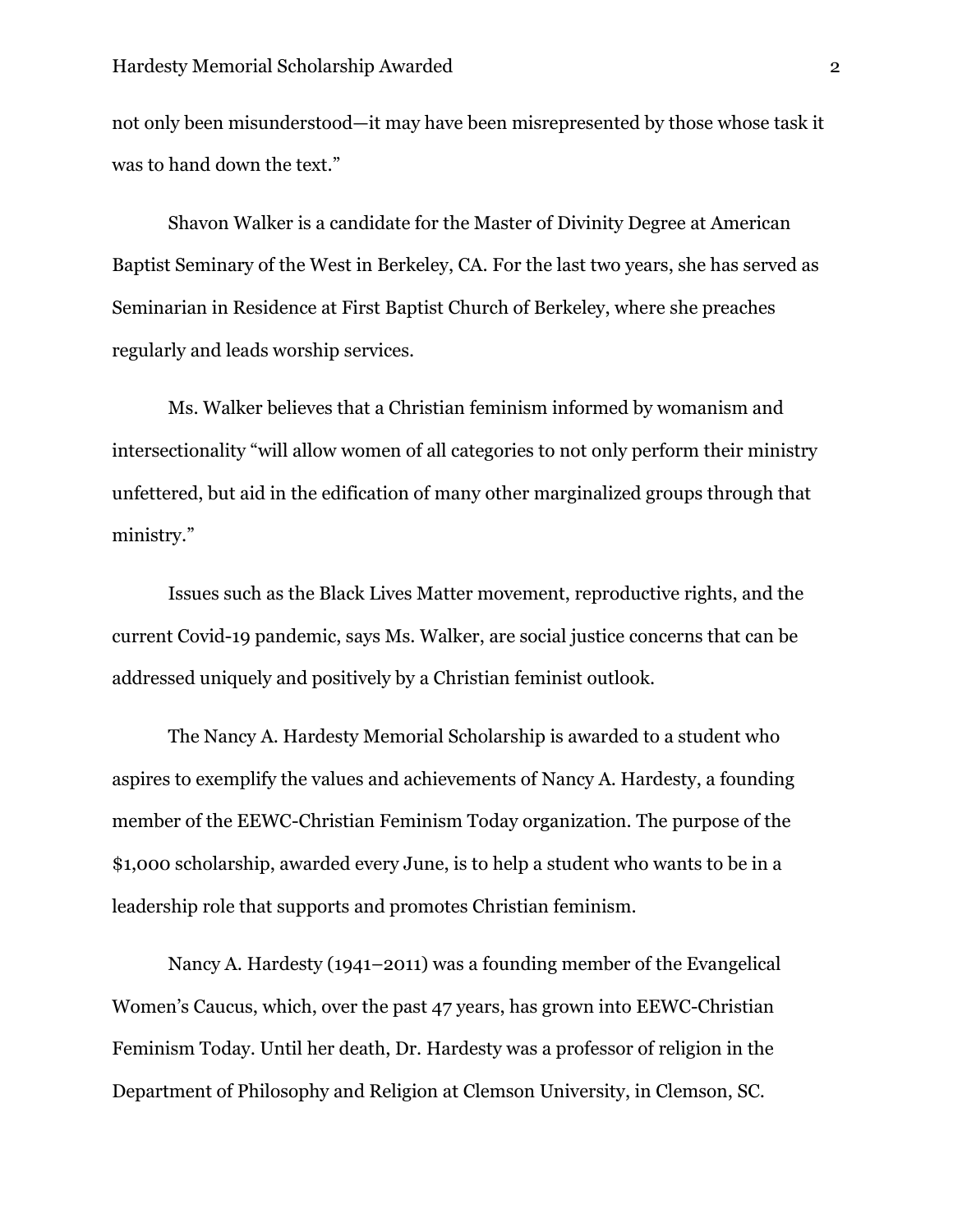not only been misunderstood—it may have been misrepresented by those whose task it was to hand down the text."

Shavon Walker is a candidate for the Master of Divinity Degree at American Baptist Seminary of the West in Berkeley, CA. For the last two years, she has served as Seminarian in Residence at First Baptist Church of Berkeley, where she preaches regularly and leads worship services.

Ms. Walker believes that a Christian feminism informed by womanism and intersectionality "will allow women of all categories to not only perform their ministry unfettered, but aid in the edification of many other marginalized groups through that ministry."

Issues such as the Black Lives Matter movement, reproductive rights, and the current Covid-19 pandemic, says Ms. Walker, are social justice concerns that can be addressed uniquely and positively by a Christian feminist outlook.

The Nancy A. Hardesty Memorial Scholarship is awarded to a student who aspires to exemplify the values and achievements of Nancy A. Hardesty, a founding member of the EEWC-Christian Feminism Today organization. The purpose of the \$1,000 scholarship, awarded every June, is to help a student who wants to be in a leadership role that supports and promotes Christian feminism.

Nancy A. Hardesty (1941–2011) was a founding member of the Evangelical Women's Caucus, which, over the past 47 years, has grown into EEWC-Christian Feminism Today. Until her death, Dr. Hardesty was a professor of religion in the Department of Philosophy and Religion at Clemson University, in Clemson, SC.